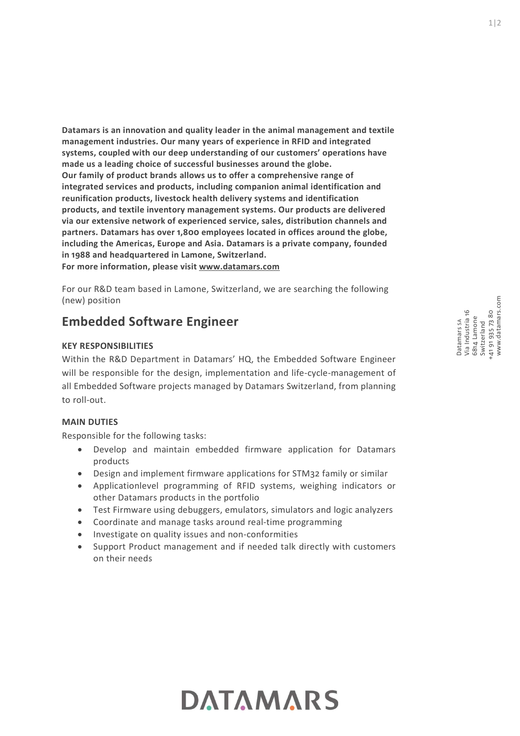Datamars is an innovation and quality leader in the animal management and textile management industries. Our many years of experience in RFID and integrated systems, coupled with our deep understanding of our customers' operations have made us a leading choice of successful businesses around the globe. Our family of product brands allows us to offer a comprehensive range of integrated services and products, including companion animal identification and reunification products, livestock health delivery systems and identification products, and textile inventory management systems. Our products are delivered via our extensive network of experienced service, sales, distribution channels and partners. Datamars has over 1,800 employees located in offices around the globe, including the Americas, Europe and Asia. Datamars is a private company, founded in 1988 and headquartered in Lamone, Switzerland. For more information, please visit www.datamars.com

For our R&D team based in Lamone, Switzerland, we are searching the following (new) position

# Embedded Software Engineer

# KEY RESPONSIBILITIES

Embedded Software Engineer<br>
KEY RESPONSIBILITIES<br>
KEY RESPONSIBILITIES<br>
With the R&D Department in Datamars' HQ, the Embedded Software Engineer<br>
will be responsible for the design, implementation and life-cycle-management Within the R&D Department in Datamars' HQ, the Embedded Software Engineer will be responsible for the design, implementation and life-cycle-management of all Embedded Software projects managed by Datamars Switzerland, from planning to roll-out.

### MAIN DUTIES

Responsible for the following tasks:

- Develop and maintain embedded firmware application for Datamars products
- Design and implement firmware applications for STM32 family or similar
- Applicationlevel programming of RFID systems, weighing indicators or other Datamars products in the portfolio
- Test Firmware using debuggers, emulators, simulators and logic analyzers
- Coordinate and manage tasks around real-time programming
- Investigate on quality issues and non-conformities
- Support Product management and if needed talk directly with customers on their needs